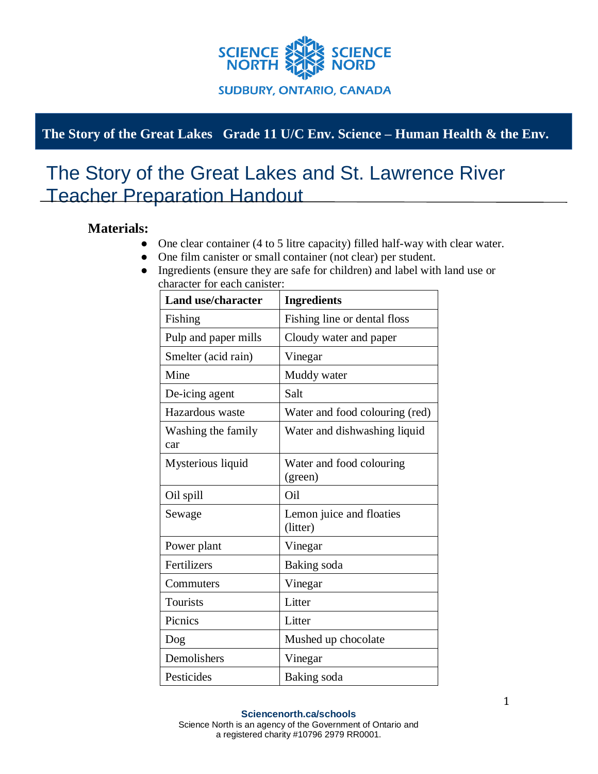

## **The Story of the Great Lakes Grade 11 U/C Env. Science – Human Health & the Env.**

## The Story of the Great Lakes and St. Lawrence River Teacher Preparation Handout

## **Materials:**

- One clear container (4 to 5 litre capacity) filled half-way with clear water.
- One film canister or small container (not clear) per student.
- Ingredients (ensure they are safe for children) and label with land use or character for each canister:

| <b>Land use/character</b> | <b>Ingredients</b>                   |
|---------------------------|--------------------------------------|
| Fishing                   | Fishing line or dental floss         |
| Pulp and paper mills      | Cloudy water and paper               |
| Smelter (acid rain)       | Vinegar                              |
| Mine                      | Muddy water                          |
| De-icing agent            | Salt                                 |
| Hazardous waste           | Water and food colouring (red)       |
| Washing the family<br>car | Water and dishwashing liquid         |
| Mysterious liquid         | Water and food colouring<br>(green)  |
| Oil spill                 | Oil                                  |
| Sewage                    | Lemon juice and floaties<br>(litter) |
| Power plant               | Vinegar                              |
| Fertilizers               | Baking soda                          |
| Commuters                 | Vinegar                              |
| <b>Tourists</b>           | Litter                               |
| Picnics                   | Litter                               |
| Dog                       | Mushed up chocolate                  |
| Demolishers               | Vinegar                              |
| Pesticides                | Baking soda                          |